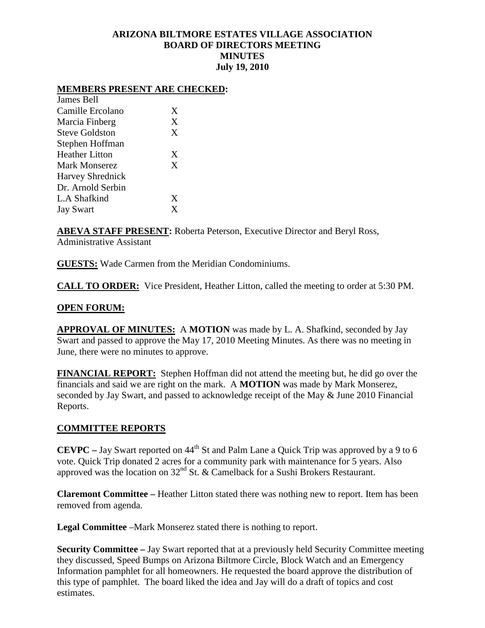## **ARIZONA BILTMORE ESTATES VILLAGE ASSOCIATION BOARD OF DIRECTORS MEETING MINUTES July 19, 2010**

### **MEMBERS PRESENT ARE CHECKED:**

| James Bell              |   |
|-------------------------|---|
| Camille Ercolano        | X |
| Marcia Finberg          | X |
| <b>Steve Goldston</b>   | X |
| Stephen Hoffman         |   |
| <b>Heather Litton</b>   | X |
| Mark Monserez           | X |
| <b>Harvey Shrednick</b> |   |
| Dr. Arnold Serbin       |   |
| L.A Shafkind            | X |
| <b>Jay Swart</b>        | X |
|                         |   |

**ABEVA STAFF PRESENT:** Roberta Peterson, Executive Director and Beryl Ross, Administrative Assistant

**GUESTS:** Wade Carmen from the Meridian Condominiums.

**CALL TO ORDER:** Vice President, Heather Litton, called the meeting to order at 5:30 PM.

### **OPEN FORUM:**

**APPROVAL OF MINUTES:** A **MOTION** was made by L. A. Shafkind, seconded by Jay Swart and passed to approve the May 17, 2010 Meeting Minutes. As there was no meeting in June, there were no minutes to approve.

**FINANCIAL REPORT:** Stephen Hoffman did not attend the meeting but, he did go over the financials and said we are right on the mark. A **MOTION** was made by Mark Monserez, seconded by Jay Swart, and passed to acknowledge receipt of the May & June 2010 Financial Reports.

#### **COMMITTEE REPORTS**

**CEVPC** – Jay Swart reported on 44<sup>th</sup> St and Palm Lane a Quick Trip was approved by a 9 to 6 vote. Quick Trip donated 2 acres for a community park with maintenance for 5 years. Also approved was the location on 32nd St. & Camelback for a Sushi Brokers Restaurant.

**Claremont Committee –** Heather Litton stated there was nothing new to report. Item has been removed from agenda.

**Legal Committee** –Mark Monserez stated there is nothing to report.

**Security Committee –** Jay Swart reported that at a previously held Security Committee meeting they discussed, Speed Bumps on Arizona Biltmore Circle, Block Watch and an Emergency Information pamphlet for all homeowners. He requested the board approve the distribution of this type of pamphlet. The board liked the idea and Jay will do a draft of topics and cost estimates.